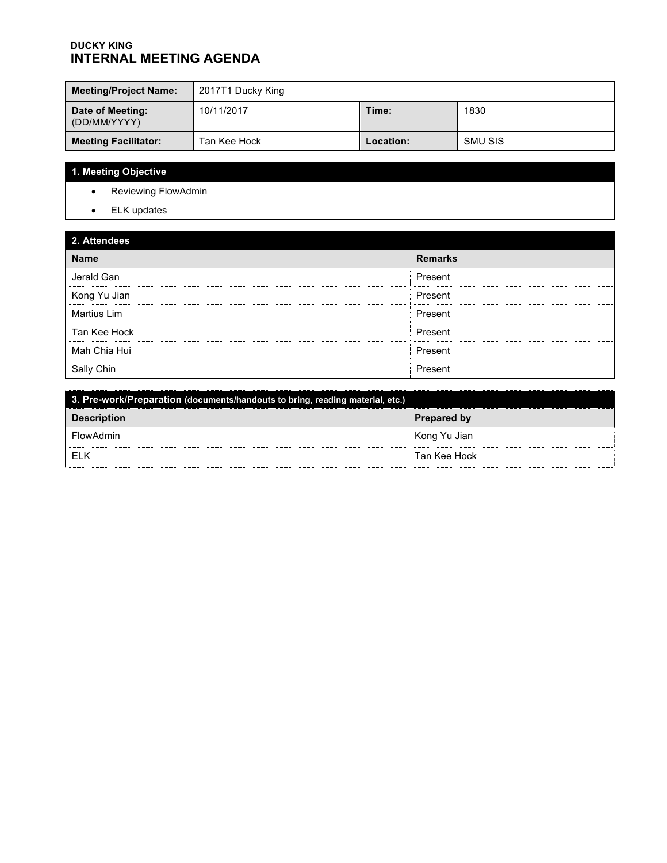#### **DUCKY KING INTERNAL MEETING AGENDA**

| <b>Meeting/Project Name:</b>     | 2017T1 Ducky King |           |         |
|----------------------------------|-------------------|-----------|---------|
| Date of Meeting:<br>(DD/MM/YYYY) | 10/11/2017        | Time:     | 1830    |
| <b>Meeting Facilitator:</b>      | Tan Kee Hock      | Location: | SMU SIS |

# **1. Meeting Objective**

- Reviewing FlowAdmin
- ELK updates

### **2. Attendees**

| $-$ . $-$          |                |
|--------------------|----------------|
| <b>Name</b>        | <b>Remarks</b> |
| Jerald Gan         | Present        |
| Kong Yu Jian       | Present        |
| <b>Martius Lim</b> | Present        |
| Tan Kee Hock       | Present        |
| Mah Chia Hui       | Present        |
| Sally Chin         | Present        |

| 3. Pre-work/Preparation (documents/handouts to bring, reading material, etc.) |                    |  |  |
|-------------------------------------------------------------------------------|--------------------|--|--|
| <b>Description</b>                                                            | <b>Prepared by</b> |  |  |
| FlowAdmin                                                                     | Kong Yu Jian       |  |  |
| - FI K                                                                        | Tan Kee Hock       |  |  |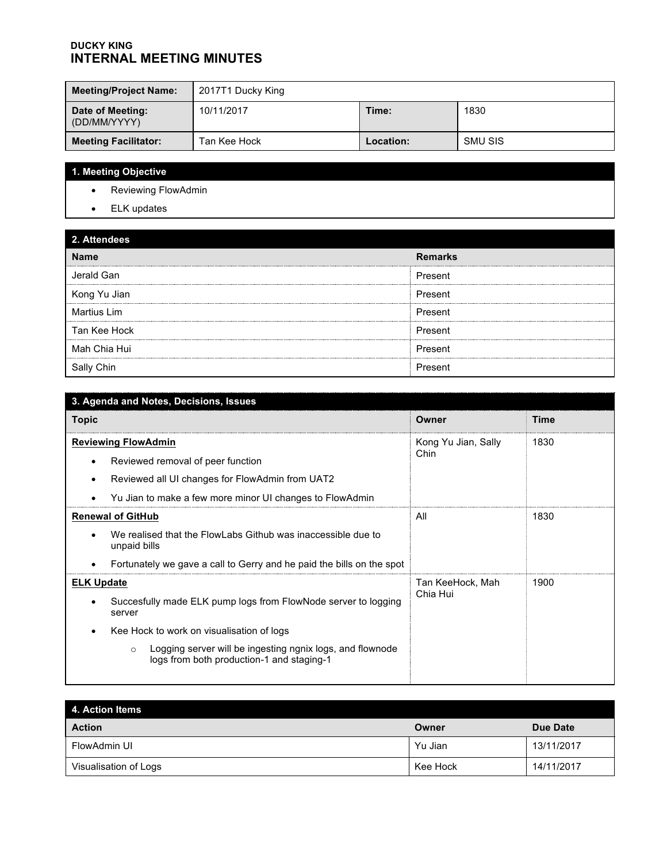#### **DUCKY KING INTERNAL MEETING MINUTES**

| <b>Meeting/Project Name:</b>     | 2017T1 Ducky King |           |         |
|----------------------------------|-------------------|-----------|---------|
| Date of Meeting:<br>(DD/MM/YYYY) | 10/11/2017        | Time:     | 1830    |
| <b>Meeting Facilitator:</b>      | Tan Kee Hock      | Location: | SMU SIS |

# **1. Meeting Objective**

- Reviewing FlowAdmin
- ELK updates

## **2. Attendees**

| <b>L. AUGHUGGS</b> |                |
|--------------------|----------------|
| <b>Name</b>        | <b>Remarks</b> |
| Jerald Gan         | Present        |
| Kong Yu Jian       | Present        |
| Martius Lim        | Present        |
| Tan Kee Hock       | Present        |
| Mah Chia Hui       | Present        |
| Sally Chin         | Present        |

| 3. Agenda and Notes, Decisions, Issues                                                                            |                     |                     |  |
|-------------------------------------------------------------------------------------------------------------------|---------------------|---------------------|--|
| <b>Topic</b>                                                                                                      | Owner               | <b>Time</b><br>1830 |  |
| <b>Reviewing FlowAdmin</b>                                                                                        | Kong Yu Jian, Sally |                     |  |
| Reviewed removal of peer function                                                                                 | Chin                |                     |  |
| Reviewed all UI changes for FlowAdmin from UAT2                                                                   |                     |                     |  |
| Yu Jian to make a few more minor UI changes to FlowAdmin                                                          |                     |                     |  |
| <b>Renewal of GitHub</b>                                                                                          | All                 | 1830                |  |
| We realised that the FlowLabs Github was inaccessible due to<br>unpaid bills                                      |                     |                     |  |
| Fortunately we gave a call to Gerry and he paid the bills on the spot                                             |                     |                     |  |
| <b>ELK Update</b>                                                                                                 | Tan KeeHock, Mah    | 1900                |  |
| Succesfully made ELK pump logs from FlowNode server to logging<br>server                                          | Chia Hui            |                     |  |
| Kee Hock to work on visualisation of logs                                                                         |                     |                     |  |
| Logging server will be ingesting ngnix logs, and flownode<br>$\circ$<br>logs from both production-1 and staging-1 |                     |                     |  |

| <b>4. Action Items</b> |          |            |  |
|------------------------|----------|------------|--|
| <b>Action</b>          | Owner    | Due Date   |  |
| FlowAdmin UI           | Yu Jian  | 13/11/2017 |  |
| Visualisation of Logs  | Kee Hock | 14/11/2017 |  |